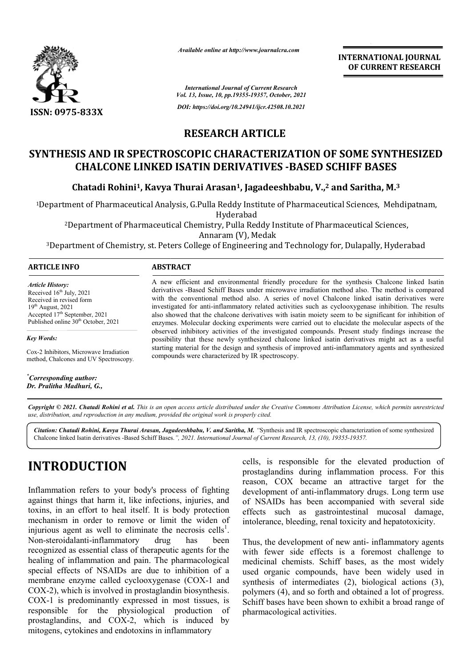

*Available online at http://www.journalcra.com*

*International Journal of Current Research Vol. 13, Issue, 10, pp.19355-19357, October, 2021 DOI: https://doi.org/10.24941/ijcr.42508.10.2021*

**INTERNATIONAL JOURNAL OF CURRENT RESEARCH**

## **RESEARCH ARTICLE**

# **SYNTHESIS AND IR SPECTROSCOPIC CHARACTERIZATION OF SOME SYNTHESIZED**<br>CHALCONE LINKED ISATIN DERIVATIVES -BASED SCHIFF BASES<br>Chatadi Rohini<sup>1</sup>, Kavya Thurai Arasan<sup>1</sup>, Jagadeeshbabu, V.,<sup>2</sup> and Saritha, M.<sup>3</sup> **CHALCONE LINKED ISATIN DERIVATIVES -BASED SCHIFF BASES**

Chatadi Rohini<sup>1</sup>, Kavya Thurai Arasan<sup>1</sup>, Jagadeeshbabu, V.,<sup>2</sup> and Saritha, M.

<sup>1</sup>Department of Pharmaceutical Analysis, G.Pulla Reddy Institute of Pharmaceutical Sciences, Mehdipatnam,<br>Hyderabad naceutical Analysis, G.Pulla Reddy Institute of Pharmaceutical Sciences,<br>Hyderabad<br>of Pharmaceutical Chemistry, Pulla Reddy Institute of Pharmaceutical So

2Department of Pharmaceutical Chemistry, Pulla Reddy Institute of Pharmaceutical Sciences, Department Annaram (V), Medak

3Department of Chemistry, st. Peters College of Engineering and Technology for, Dulapally, Hyderabad

#### **ARTICLE INFO ABSTRACT**

*Article History: Article History:* Received  $16<sup>th</sup>$  July, 2021 Received in revised form Received in revised form  $19<sup>th</sup>$  August, 2021 Accepted  $17<sup>th</sup>$  September, 2021 Published online 30<sup>th</sup> October, 2021

*Key Words:*

Cox-2 Inhibitors, Microwave Irradiation method, Chalcones and UV Spectroscopy.

*\* Corresponding author: Dr. Pralitha Madhuri, G.,*

A new efficient and environmental friendly procedure for the synthesis Chalcone linked Isatin derivatives -Based Schiff Bases under microwave irradiation method also. The method is compared with the conventional method also. A series of novel Chalcone linked isatin derivatives were investigated for anti-inflammatory related activities such as cyclooxygenase inhibition. The results also showed that the chalcone derivatives with isatin moiety seem to be significant for inhibition of enzymes. Molecular docking experiments were carried out to elucidate the molecular aspects of the observed inhibitory activities of the investigated compounds. Present study findings possibility that these newly synthesized chalcone linked isatin derivatives might act as a useful possibility that these newly synthesized chalcone linked isatin derivatives might act as a useful starting material for the design and synthesis of improved anti-inflammatory agents and synthesized compounds were characterized by IR spectroscopy. with the conventional method also. A series of novel Chalcone linked isatin derivatives were investigated for anti-inflammatory related activities such as cyclooxygenase inhibition. The results also showed that the chalcon , lot have shown to range

Copyright © 2021. Chatadi Rohini et al. This is an open access article distributed under the Creative Commons Attribution License, which permits unrestricted *use, distribution, and reproduction in any medium, provided the original work is properly cited.*

Citation: Chatadi Rohini, Kavya Thurai Arasan, Jagadeeshbabu, V. and Saritha, M. "Synthesis and IR spectroscopic characterization of some synthesized Chalcone linked Isatin derivatives -Based Schiff Bases. Based *", 2021. International Journal of Current Research, 13, (10), 19355 19355-19357.*

# **INTRODUCTION**

Inflammation refers to your body's process of fighting against things that harm it, like infections, injuries, and toxins, in an effort to heal itself. It is body protection mechanism in order to remove or limit the widen of injurious agent as well to eliminate the necrosis cells<sup>1</sup>. Non-steroidalanti-inflammatory drug has been recognized as essential class of therapeutic agents for the healing of inflammation and pain. The pharmacological special effects of NSAIDs are due to inhibition of a membrane enzyme called cyclooxygenase (COX-1 and COX-2), which is involved in prostaglandin biosynthesis. COX-2), which is involved in prostaglandin biosynthesis.<br>COX-1 is predominantly expressed in most tissues, is responsible for the physiological production of prostaglandins, and COX-2, which is induced by mitogens, cytokines and endotoxins in inflammatory like infections, injuries, and<br>il itself. It is body protection<br>emove or limit the widen of inflammatory drug has been<br>ential class of therapeutic agents for the<br>mation and pain. The pharmacological<br>`NSAIDs are due to inhibition of a<br>e called cyclooxygenase (COX-1 and

cells, is responsible for the elevated production of prostaglandins during inflammation process. For this reason, COX became an attractive target for the development of anti-inflammatory drugs. Long term use of NSAIDs has been accompanied with several side effects such as gastrointestinal mucosal damage, intolerance, bleeding, renal toxicity and hepatotoxic reason, COX became an attractive target for the development of anti-inflammatory drugs. Long term u<br>of NSAIDs has been accompanied with several sideffects such as gastrointestinal mucosal damage<br>intolerance, bleeding, rena

cells, is responsible for the elevated production of<br>prostaglandins during inflammation process. For this<br>teady's process of fighting<br>development of anti-inflammatory drugs. Long term use<br>like infections, injuries, and of Thus, the development of new anti- inflammatory agents with fewer side effects is a foremost challenge to medicinal chemists. Schiff bases, as the most widely used organic compounds, have been widely used in synthesis of intermediates (2), biological actions (3), polymers (4), and so forth and obtained a lot of progress. Schiff bases have been shown to exhibit a broad range of pharmacological activities. with fewer side effects is a foremost challenge to medicinal chemists. Schiff bases, as the most widely used in synthesis of intermediates (2), biological actions (3),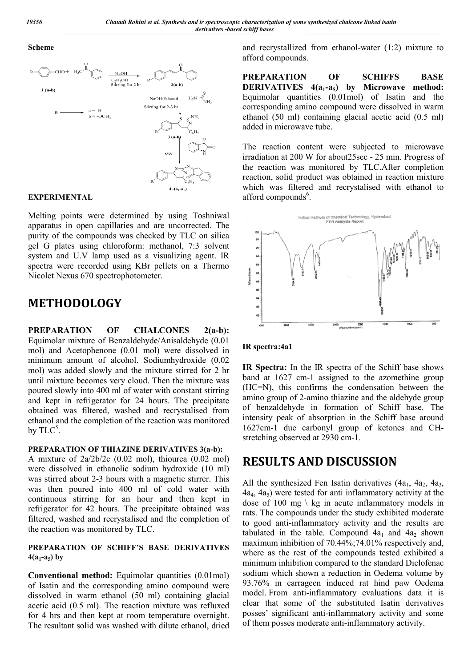#### **Scheme**



### **EXPERIMENTAL**

Melting points were determined by using Toshniwal apparatus in open capillaries and are uncorrected. The purity of the compounds was checked by TLC on silica gel G plates using chloroform: methanol, 7:3 solvent system and U.V lamp used as a visualizing agent. IR spectra were recorded using KBr pellets on a Thermo Nicolet Nexus 670 spectrophotometer.

# **METHODOLOGY**

**PREPARATION OF CHALCONES 2(a-b):** Equimolar mixture of Benzaldehyde/Anisaldehyde (0.01 mol) and Acetophenone (0.01 mol) were dissolved in minimum amount of alcohol. Sodiumhydroxide (0.02 mol) was added slowly and the mixture stirred for 2 hr until mixture becomes very cloud. Then the mixture was poured slowly into 400 ml of water with constant stirring and kept in refrigerator for 24 hours. The precipitate obtained was filtered, washed and recrystalised from ethanol and the completion of the reaction was monitored by  $\text{TLC}^5$ .

#### **PREPARATION OF THIAZINE DERIVATIVES 3(a-b):**

A mixture of 2a/2b/2c (0.02 mol), thiourea (0.02 mol) were dissolved in ethanolic sodium hydroxide (10 ml) was stirred about 2-3 hours with a magnetic stirrer. This was then poured into 400 ml of cold water with continuous stirring for an hour and then kept in refrigerator for 42 hours. The precipitate obtained was filtered, washed and recrystalised and the completion of the reaction was monitored by TLC.

### **PREPARATION OF SCHIFF'S BASE DERIVATIVES**   $4(a_1-a_5)$  by

**Conventional method:** Equimolar quantities (0.01mol) of Isatin and the corresponding amino compound were dissolved in warm ethanol (50 ml) containing glacial acetic acid (0.5 ml). The reaction mixture was refluxed for 4 hrs and then kept at room temperature overnight. The resultant solid was washed with dilute ethanol, dried and recrystallized from ethanol-water (1:2) mixture to afford compounds.

**PREPARATION OF SCHIFFS BASE DERIVATIVES** 4(a<sub>1</sub>-a<sub>5</sub>) by Microwave method: Equimolar quantities (0.01mol) of Isatin and the corresponding amino compound were dissolved in warm ethanol (50 ml) containing glacial acetic acid (0.5 ml) added in microwave tube.

The reaction content were subjected to microwave irradiation at 200 W for about25sec - 25 min. Progress of the reaction was monitored by TLC.After completion reaction, solid product was obtained in reaction mixture which was filtered and recrystalised with ethanol to afford compounds<sup>6</sup>.



#### **IR spectra:4a1**

**IR Spectra:** In the IR spectra of the Schiff base shows band at 1627 cm-1 assigned to the azomethine group (HC=N), this confirms the condensation between the amino group of 2-amino thiazine and the aldehyde group of benzaldehyde in formation of Schiff base. The intensity peak of absorption in the Schiff base around 1627cm-1 due carbonyl group of ketones and CHstretching observed at 2930 cm-1.

# **RESULTS AND DISCUSSION**

All the synthesized Fen Isatin derivatives  $(4a_1, 4a_2, 4a_3, 4a_4)$  $(4a<sub>4</sub>, 4a<sub>5</sub>)$  were tested for anti inflammatory activity at the dose of 100 mg  $\backslash$  kg in acute inflammatory models in rats. The compounds under the study exhibited moderate to good anti-inflammatory activity and the results are tabulated in the table. Compound  $4a_1$  and  $4a_2$  shown maximum inhibition of 70.44%;74.01% respectively and, where as the rest of the compounds tested exhibited a minimum inhibition compared to the standard Diclofenac sodium which shown a reduction in Oedema volume by 93.76% in carrageen induced rat hind paw Oedema model. From anti-inflammatory evaluations data it is clear that some of the substituted Isatin derivatives posses' significant anti-inflammatory activity and some of them posses moderate anti-inflammatory activity.